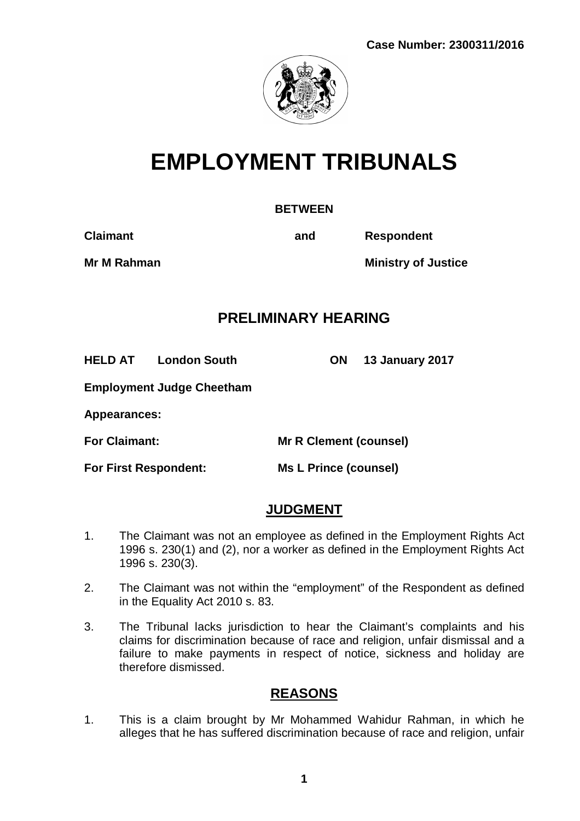

# **EMPLOYMENT TRIBUNALS**

#### **BETWEEN**

**Claimant and Respondent**

**Mr M Rahman Ministry of Justice**

# **PRELIMINARY HEARING**

**HELD AT London South ON 13 January 2017**

**Employment Judge Cheetham**

**Appearances:**

**For Claimant: Mr R Clement (counsel)**

**For First Respondent: Ms L Prince (counsel)**

# **JUDGMENT**

- 1. The Claimant was not an employee as defined in the Employment Rights Act 1996 s. 230(1) and (2), nor a worker as defined in the Employment Rights Act 1996 s. 230(3).
- 2. The Claimant was not within the "employment" of the Respondent as defined in the Equality Act 2010 s. 83.
- 3. The Tribunal lacks jurisdiction to hear the Claimant's complaints and his claims for discrimination because of race and religion, unfair dismissal and a failure to make payments in respect of notice, sickness and holiday are therefore dismissed.

## **REASONS**

1. This is a claim brought by Mr Mohammed Wahidur Rahman, in which he alleges that he has suffered discrimination because of race and religion, unfair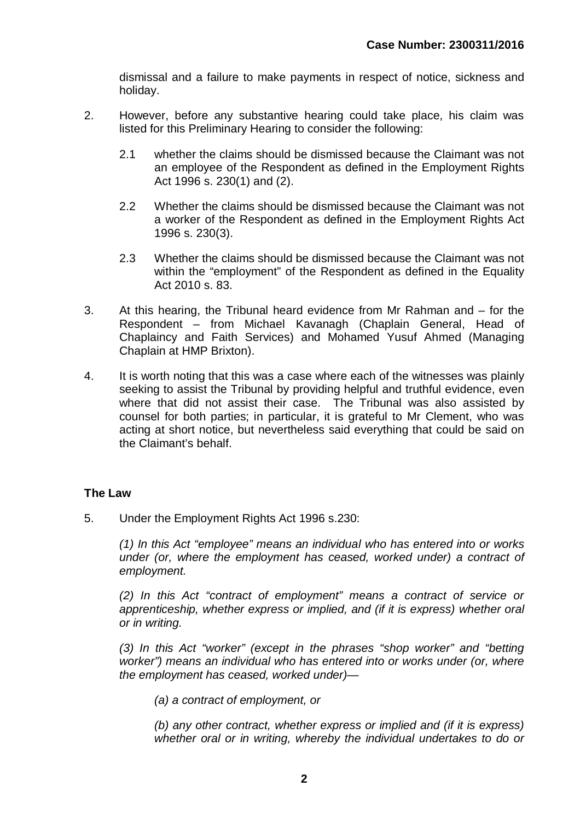dismissal and a failure to make payments in respect of notice, sickness and holiday.

- 2. However, before any substantive hearing could take place, his claim was listed for this Preliminary Hearing to consider the following:
	- 2.1 whether the claims should be dismissed because the Claimant was not an employee of the Respondent as defined in the Employment Rights Act 1996 s. 230(1) and (2).
	- 2.2 Whether the claims should be dismissed because the Claimant was not a worker of the Respondent as defined in the Employment Rights Act 1996 s. 230(3).
	- 2.3 Whether the claims should be dismissed because the Claimant was not within the "employment" of the Respondent as defined in the Equality Act 2010 s. 83.
- 3. At this hearing, the Tribunal heard evidence from Mr Rahman and for the Respondent – from Michael Kavanagh (Chaplain General, Head of Chaplaincy and Faith Services) and Mohamed Yusuf Ahmed (Managing Chaplain at HMP Brixton).
- 4. It is worth noting that this was a case where each of the witnesses was plainly seeking to assist the Tribunal by providing helpful and truthful evidence, even where that did not assist their case. The Tribunal was also assisted by counsel for both parties; in particular, it is grateful to Mr Clement, who was acting at short notice, but nevertheless said everything that could be said on the Claimant's behalf.

## **The Law**

5. Under the Employment Rights Act 1996 s.230:

*(1) In this Act "employee" means an individual who has entered into or works under (or, where the employment has ceased, worked under) a contract of employment.*

*(2) In this Act "contract of employment" means a contract of service or apprenticeship, whether express or implied, and (if it is express) whether oral or in writing.*

*(3) In this Act "worker" (except in the phrases "shop worker" and "betting worker") means an individual who has entered into or works under (or, where the employment has ceased, worked under)—*

*(a) a contract of employment, or*

*(b) any other contract, whether express or implied and (if it is express) whether oral or in writing, whereby the individual undertakes to do or*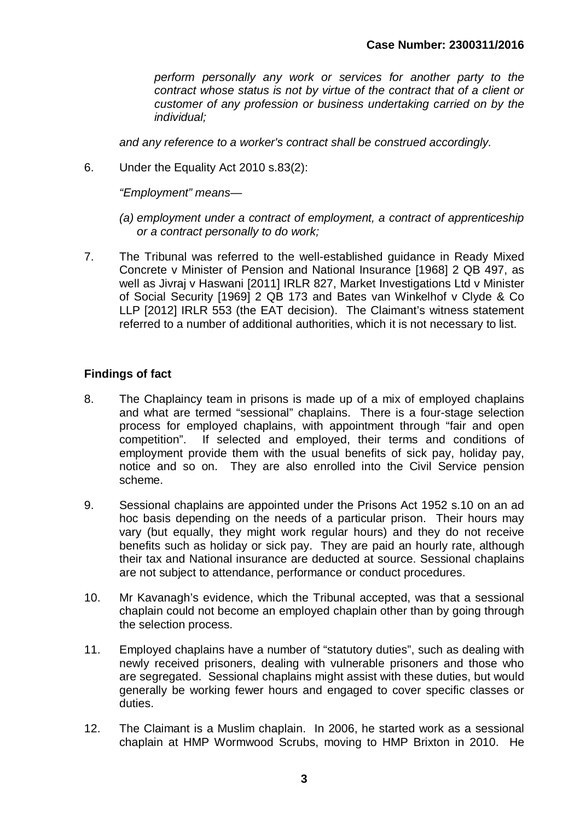*perform personally any work or services for another party to the contract whose status is not by virtue of the contract that of a client or customer of any profession or business undertaking carried on by the individual;*

*and any reference to a worker's contract shall be construed accordingly.*

6. Under the Equality Act 2010 s.83(2):

*"Employment" means—*

- *(a) employment under a contract of employment, a contract of apprenticeship or a contract personally to do work;*
- 7. The Tribunal was referred to the well-established guidance in Ready Mixed Concrete v Minister of Pension and National Insurance [1968] 2 QB 497, as well as Jivraj v Haswani [2011] IRLR 827, Market Investigations Ltd v Minister of Social Security [1969] 2 QB 173 and Bates van Winkelhof v Clyde & Co LLP [2012] IRLR 553 (the EAT decision). The Claimant's witness statement referred to a number of additional authorities, which it is not necessary to list.

## **Findings of fact**

- 8. The Chaplaincy team in prisons is made up of a mix of employed chaplains and what are termed "sessional" chaplains. There is a four-stage selection process for employed chaplains, with appointment through "fair and open competition". If selected and employed, their terms and conditions of employment provide them with the usual benefits of sick pay, holiday pay, notice and so on. They are also enrolled into the Civil Service pension scheme.
- 9. Sessional chaplains are appointed under the Prisons Act 1952 s.10 on an ad hoc basis depending on the needs of a particular prison. Their hours may vary (but equally, they might work regular hours) and they do not receive benefits such as holiday or sick pay. They are paid an hourly rate, although their tax and National insurance are deducted at source. Sessional chaplains are not subject to attendance, performance or conduct procedures.
- 10. Mr Kavanagh's evidence, which the Tribunal accepted, was that a sessional chaplain could not become an employed chaplain other than by going through the selection process.
- 11. Employed chaplains have a number of "statutory duties", such as dealing with newly received prisoners, dealing with vulnerable prisoners and those who are segregated. Sessional chaplains might assist with these duties, but would generally be working fewer hours and engaged to cover specific classes or duties.
- 12. The Claimant is a Muslim chaplain. In 2006, he started work as a sessional chaplain at HMP Wormwood Scrubs, moving to HMP Brixton in 2010. He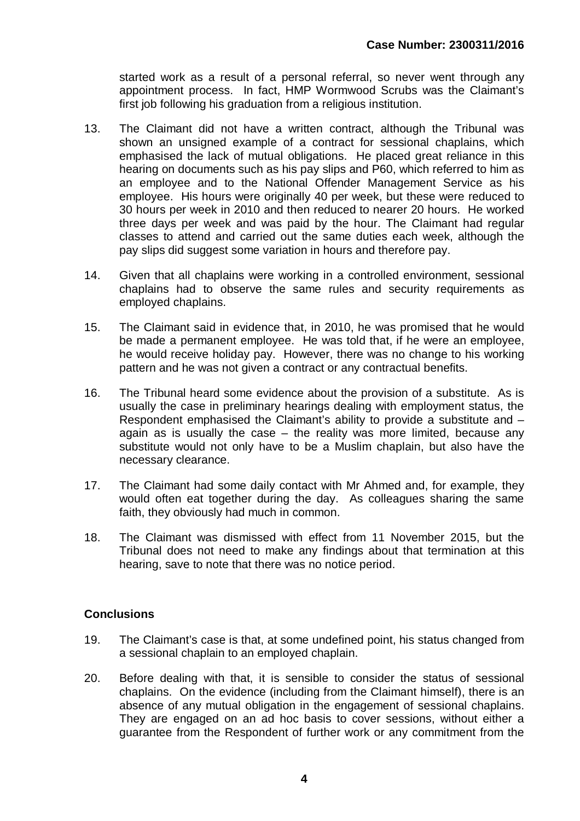started work as a result of a personal referral, so never went through any appointment process. In fact, HMP Wormwood Scrubs was the Claimant's first job following his graduation from a religious institution.

- 13. The Claimant did not have a written contract, although the Tribunal was shown an unsigned example of a contract for sessional chaplains, which emphasised the lack of mutual obligations. He placed great reliance in this hearing on documents such as his pay slips and P60, which referred to him as an employee and to the National Offender Management Service as his employee. His hours were originally 40 per week, but these were reduced to 30 hours per week in 2010 and then reduced to nearer 20 hours. He worked three days per week and was paid by the hour. The Claimant had regular classes to attend and carried out the same duties each week, although the pay slips did suggest some variation in hours and therefore pay.
- 14. Given that all chaplains were working in a controlled environment, sessional chaplains had to observe the same rules and security requirements as employed chaplains.
- 15. The Claimant said in evidence that, in 2010, he was promised that he would be made a permanent employee. He was told that, if he were an employee, he would receive holiday pay. However, there was no change to his working pattern and he was not given a contract or any contractual benefits.
- 16. The Tribunal heard some evidence about the provision of a substitute. As is usually the case in preliminary hearings dealing with employment status, the Respondent emphasised the Claimant's ability to provide a substitute and – again as is usually the case – the reality was more limited, because any substitute would not only have to be a Muslim chaplain, but also have the necessary clearance.
- 17. The Claimant had some daily contact with Mr Ahmed and, for example, they would often eat together during the day. As colleagues sharing the same faith, they obviously had much in common.
- 18. The Claimant was dismissed with effect from 11 November 2015, but the Tribunal does not need to make any findings about that termination at this hearing, save to note that there was no notice period.

## **Conclusions**

- 19. The Claimant's case is that, at some undefined point, his status changed from a sessional chaplain to an employed chaplain.
- 20. Before dealing with that, it is sensible to consider the status of sessional chaplains. On the evidence (including from the Claimant himself), there is an absence of any mutual obligation in the engagement of sessional chaplains. They are engaged on an ad hoc basis to cover sessions, without either a guarantee from the Respondent of further work or any commitment from the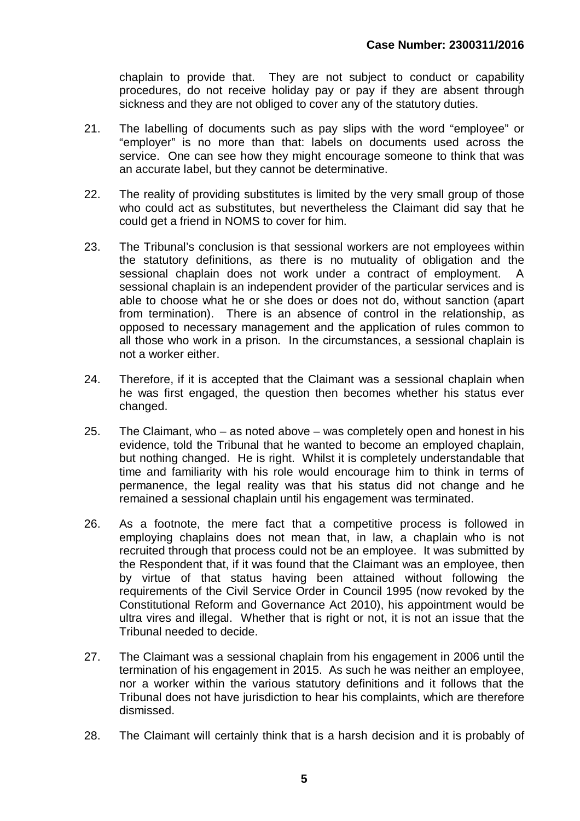chaplain to provide that. They are not subject to conduct or capability procedures, do not receive holiday pay or pay if they are absent through sickness and they are not obliged to cover any of the statutory duties.

- 21. The labelling of documents such as pay slips with the word "employee" or "employer" is no more than that: labels on documents used across the service. One can see how they might encourage someone to think that was an accurate label, but they cannot be determinative.
- 22. The reality of providing substitutes is limited by the very small group of those who could act as substitutes, but nevertheless the Claimant did say that he could get a friend in NOMS to cover for him.
- 23. The Tribunal's conclusion is that sessional workers are not employees within the statutory definitions, as there is no mutuality of obligation and the sessional chaplain does not work under a contract of employment. A sessional chaplain is an independent provider of the particular services and is able to choose what he or she does or does not do, without sanction (apart from termination). There is an absence of control in the relationship, as opposed to necessary management and the application of rules common to all those who work in a prison. In the circumstances, a sessional chaplain is not a worker either.
- 24. Therefore, if it is accepted that the Claimant was a sessional chaplain when he was first engaged, the question then becomes whether his status ever changed.
- 25. The Claimant, who as noted above was completely open and honest in his evidence, told the Tribunal that he wanted to become an employed chaplain, but nothing changed. He is right. Whilst it is completely understandable that time and familiarity with his role would encourage him to think in terms of permanence, the legal reality was that his status did not change and he remained a sessional chaplain until his engagement was terminated.
- 26. As a footnote, the mere fact that a competitive process is followed in employing chaplains does not mean that, in law, a chaplain who is not recruited through that process could not be an employee. It was submitted by the Respondent that, if it was found that the Claimant was an employee, then by virtue of that status having been attained without following the requirements of the Civil Service Order in Council 1995 (now revoked by the Constitutional Reform and Governance Act 2010), his appointment would be ultra vires and illegal. Whether that is right or not, it is not an issue that the Tribunal needed to decide.
- 27. The Claimant was a sessional chaplain from his engagement in 2006 until the termination of his engagement in 2015. As such he was neither an employee, nor a worker within the various statutory definitions and it follows that the Tribunal does not have jurisdiction to hear his complaints, which are therefore dismissed.
- 28. The Claimant will certainly think that is a harsh decision and it is probably of